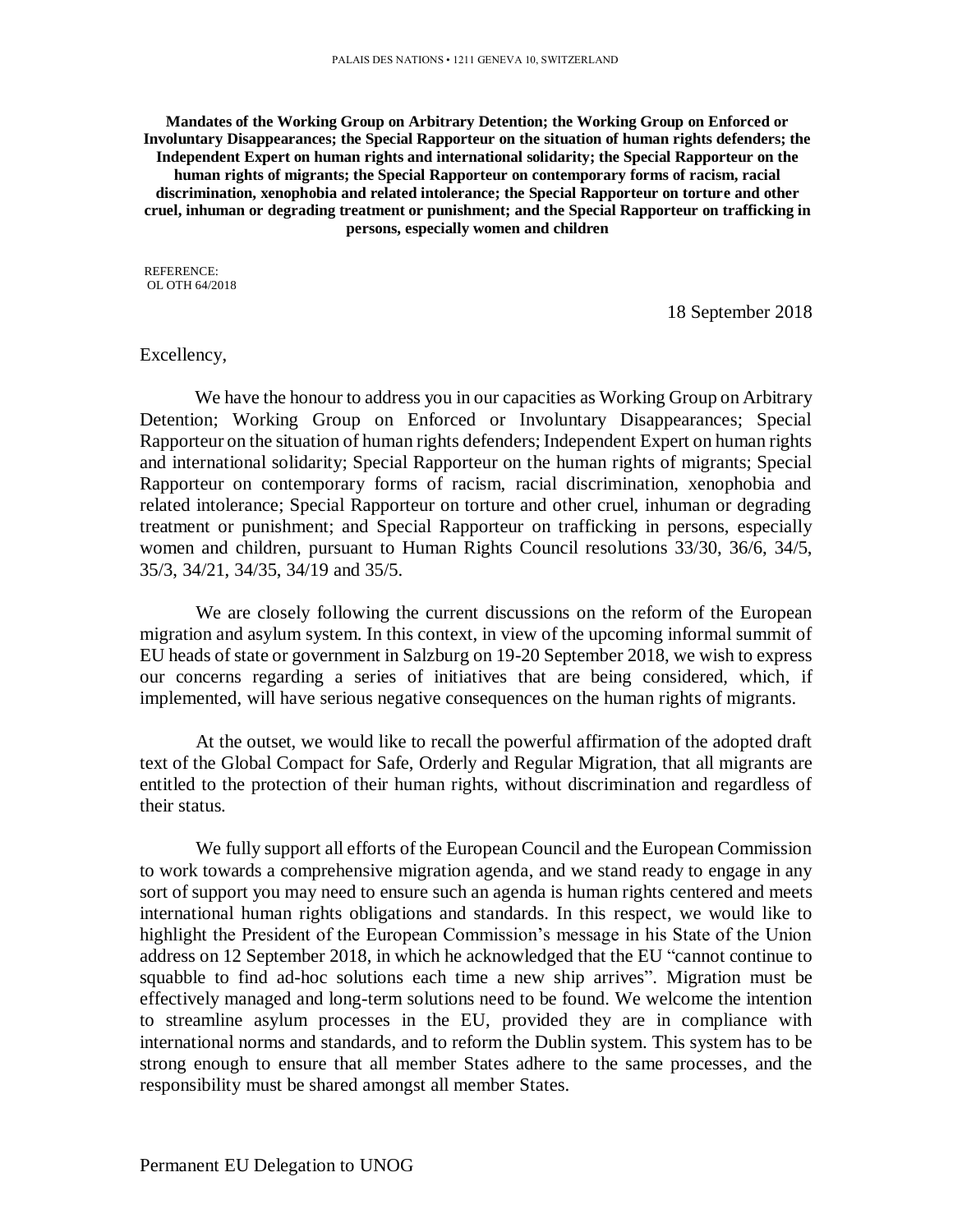**Mandates of the Working Group on Arbitrary Detention; the Working Group on Enforced or Involuntary Disappearances; the Special Rapporteur on the situation of human rights defenders; the Independent Expert on human rights and international solidarity; the Special Rapporteur on the human rights of migrants; the Special Rapporteur on contemporary forms of racism, racial discrimination, xenophobia and related intolerance; the Special Rapporteur on torture and other cruel, inhuman or degrading treatment or punishment; and the Special Rapporteur on trafficking in persons, especially women and children**

REFERENCE: OL OTH 64/2018

18 September 2018

## Excellency,

We have the honour to address you in our capacities as Working Group on Arbitrary Detention; Working Group on Enforced or Involuntary Disappearances; Special Rapporteur on the situation of human rights defenders; Independent Expert on human rights and international solidarity; Special Rapporteur on the human rights of migrants; Special Rapporteur on contemporary forms of racism, racial discrimination, xenophobia and related intolerance; Special Rapporteur on torture and other cruel, inhuman or degrading treatment or punishment; and Special Rapporteur on trafficking in persons, especially women and children, pursuant to Human Rights Council resolutions 33/30, 36/6, 34/5, 35/3, 34/21, 34/35, 34/19 and 35/5.

We are closely following the current discussions on the reform of the European migration and asylum system. In this context, in view of the upcoming informal summit of EU heads of state or government in Salzburg on 19-20 September 2018, we wish to express our concerns regarding a series of initiatives that are being considered, which, if implemented, will have serious negative consequences on the human rights of migrants.

At the outset, we would like to recall the powerful affirmation of the adopted draft text of the Global Compact for Safe, Orderly and Regular Migration, that all migrants are entitled to the protection of their human rights, without discrimination and regardless of their status.

We fully support all efforts of the European Council and the European Commission to work towards a comprehensive migration agenda, and we stand ready to engage in any sort of support you may need to ensure such an agenda is human rights centered and meets international human rights obligations and standards. In this respect, we would like to highlight the President of the European Commission's message in his State of the Union address on 12 September 2018, in which he acknowledged that the EU "cannot continue to squabble to find ad-hoc solutions each time a new ship arrives". Migration must be effectively managed and long-term solutions need to be found. We welcome the intention to streamline asylum processes in the EU, provided they are in compliance with international norms and standards, and to reform the Dublin system. This system has to be strong enough to ensure that all member States adhere to the same processes, and the responsibility must be shared amongst all member States.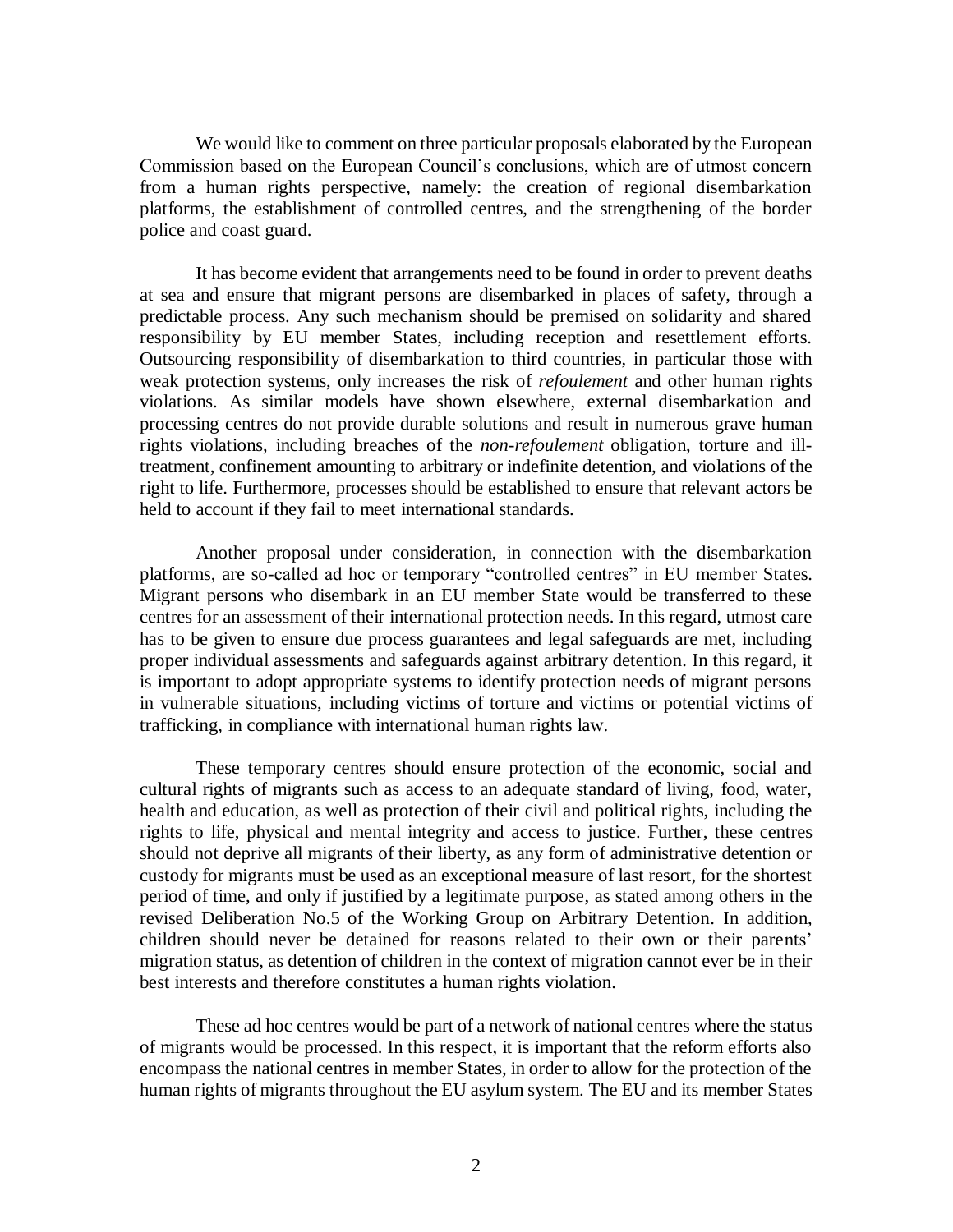We would like to comment on three particular proposals elaborated by the European Commission based on the European Council's conclusions, which are of utmost concern from a human rights perspective, namely: the creation of regional disembarkation platforms, the establishment of controlled centres, and the strengthening of the border police and coast guard.

It has become evident that arrangements need to be found in order to prevent deaths at sea and ensure that migrant persons are disembarked in places of safety, through a predictable process. Any such mechanism should be premised on solidarity and shared responsibility by EU member States, including reception and resettlement efforts. Outsourcing responsibility of disembarkation to third countries, in particular those with weak protection systems, only increases the risk of *refoulement* and other human rights violations. As similar models have shown elsewhere, external disembarkation and processing centres do not provide durable solutions and result in numerous grave human rights violations, including breaches of the *non-refoulement* obligation, torture and illtreatment, confinement amounting to arbitrary or indefinite detention, and violations of the right to life. Furthermore, processes should be established to ensure that relevant actors be held to account if they fail to meet international standards.

Another proposal under consideration, in connection with the disembarkation platforms, are so-called ad hoc or temporary "controlled centres" in EU member States. Migrant persons who disembark in an EU member State would be transferred to these centres for an assessment of their international protection needs. In this regard, utmost care has to be given to ensure due process guarantees and legal safeguards are met, including proper individual assessments and safeguards against arbitrary detention. In this regard, it is important to adopt appropriate systems to identify protection needs of migrant persons in vulnerable situations, including victims of torture and victims or potential victims of trafficking, in compliance with international human rights law.

These temporary centres should ensure protection of the economic, social and cultural rights of migrants such as access to an adequate standard of living, food, water, health and education, as well as protection of their civil and political rights, including the rights to life, physical and mental integrity and access to justice. Further, these centres should not deprive all migrants of their liberty, as any form of administrative detention or custody for migrants must be used as an exceptional measure of last resort, for the shortest period of time, and only if justified by a legitimate purpose, as stated among others in the revised Deliberation No.5 of the Working Group on Arbitrary Detention. In addition, children should never be detained for reasons related to their own or their parents' migration status, as detention of children in the context of migration cannot ever be in their best interests and therefore constitutes a human rights violation.

These ad hoc centres would be part of a network of national centres where the status of migrants would be processed. In this respect, it is important that the reform efforts also encompass the national centres in member States, in order to allow for the protection of the human rights of migrants throughout the EU asylum system. The EU and its member States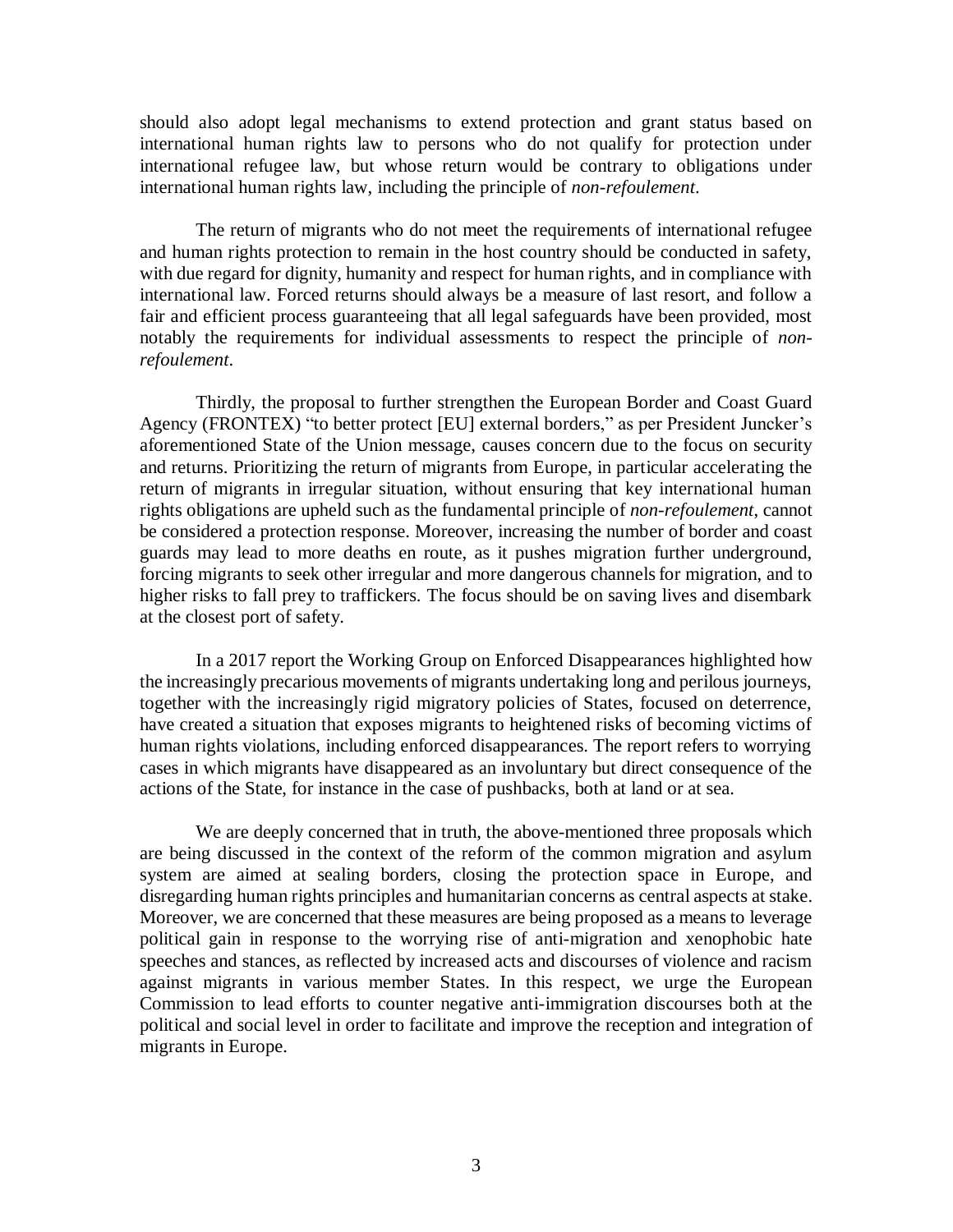should also adopt legal mechanisms to extend protection and grant status based on international human rights law to persons who do not qualify for protection under international refugee law, but whose return would be contrary to obligations under international human rights law, including the principle of *non-refoulement*.

The return of migrants who do not meet the requirements of international refugee and human rights protection to remain in the host country should be conducted in safety, with due regard for dignity, humanity and respect for human rights, and in compliance with international law. Forced returns should always be a measure of last resort, and follow a fair and efficient process guaranteeing that all legal safeguards have been provided, most notably the requirements for individual assessments to respect the principle of *nonrefoulement*.

Thirdly, the proposal to further strengthen the European Border and Coast Guard Agency (FRONTEX) "to better protect [EU] external borders," as per President Juncker's aforementioned State of the Union message, causes concern due to the focus on security and returns. Prioritizing the return of migrants from Europe, in particular accelerating the return of migrants in irregular situation, without ensuring that key international human rights obligations are upheld such as the fundamental principle of *non-refoulement*, cannot be considered a protection response. Moreover, increasing the number of border and coast guards may lead to more deaths en route, as it pushes migration further underground, forcing migrants to seek other irregular and more dangerous channels for migration, and to higher risks to fall prey to traffickers. The focus should be on saving lives and disembark at the closest port of safety.

In a 2017 report the Working Group on Enforced Disappearances highlighted how the increasingly precarious movements of migrants undertaking long and perilous journeys, together with the increasingly rigid migratory policies of States, focused on deterrence, have created a situation that exposes migrants to heightened risks of becoming victims of human rights violations, including enforced disappearances. The report refers to worrying cases in which migrants have disappeared as an involuntary but direct consequence of the actions of the State, for instance in the case of pushbacks, both at land or at sea.

We are deeply concerned that in truth, the above-mentioned three proposals which are being discussed in the context of the reform of the common migration and asylum system are aimed at sealing borders, closing the protection space in Europe, and disregarding human rights principles and humanitarian concerns as central aspects at stake. Moreover, we are concerned that these measures are being proposed as a means to leverage political gain in response to the worrying rise of anti-migration and xenophobic hate speeches and stances, as reflected by increased acts and discourses of violence and racism against migrants in various member States. In this respect, we urge the European Commission to lead efforts to counter negative anti-immigration discourses both at the political and social level in order to facilitate and improve the reception and integration of migrants in Europe.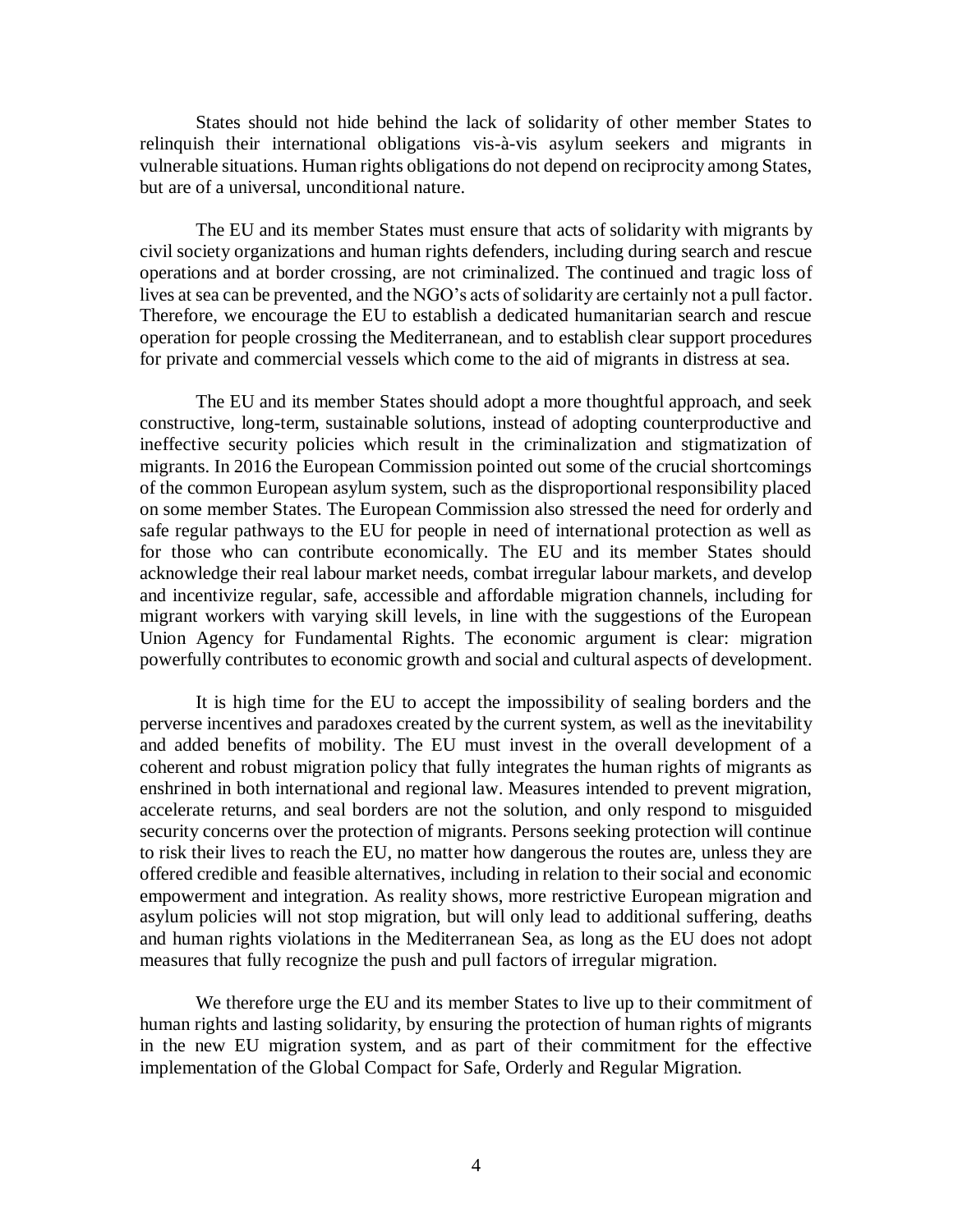States should not hide behind the lack of solidarity of other member States to relinquish their international obligations vis-à-vis asylum seekers and migrants in vulnerable situations. Human rights obligations do not depend on reciprocity among States, but are of a universal, unconditional nature.

The EU and its member States must ensure that acts of solidarity with migrants by civil society organizations and human rights defenders, including during search and rescue operations and at border crossing, are not criminalized. The continued and tragic loss of lives at sea can be prevented, and the NGO's acts of solidarity are certainly not a pull factor. Therefore, we encourage the EU to establish a dedicated humanitarian search and rescue operation for people crossing the Mediterranean, and to establish clear support procedures for private and commercial vessels which come to the aid of migrants in distress at sea.

The EU and its member States should adopt a more thoughtful approach, and seek constructive, long-term, sustainable solutions, instead of adopting counterproductive and ineffective security policies which result in the criminalization and stigmatization of migrants. In 2016 the European Commission pointed out some of the crucial shortcomings of the common European asylum system, such as the disproportional responsibility placed on some member States. The European Commission also stressed the need for orderly and safe regular pathways to the EU for people in need of international protection as well as for those who can contribute economically. The EU and its member States should acknowledge their real labour market needs, combat irregular labour markets, and develop and incentivize regular, safe, accessible and affordable migration channels, including for migrant workers with varying skill levels, in line with the suggestions of the European Union Agency for Fundamental Rights. The economic argument is clear: migration powerfully contributes to economic growth and social and cultural aspects of development.

It is high time for the EU to accept the impossibility of sealing borders and the perverse incentives and paradoxes created by the current system, as well as the inevitability and added benefits of mobility. The EU must invest in the overall development of a coherent and robust migration policy that fully integrates the human rights of migrants as enshrined in both international and regional law. Measures intended to prevent migration, accelerate returns, and seal borders are not the solution, and only respond to misguided security concerns over the protection of migrants. Persons seeking protection will continue to risk their lives to reach the EU, no matter how dangerous the routes are, unless they are offered credible and feasible alternatives, including in relation to their social and economic empowerment and integration. As reality shows, more restrictive European migration and asylum policies will not stop migration, but will only lead to additional suffering, deaths and human rights violations in the Mediterranean Sea, as long as the EU does not adopt measures that fully recognize the push and pull factors of irregular migration.

We therefore urge the EU and its member States to live up to their commitment of human rights and lasting solidarity, by ensuring the protection of human rights of migrants in the new EU migration system, and as part of their commitment for the effective implementation of the Global Compact for Safe, Orderly and Regular Migration.